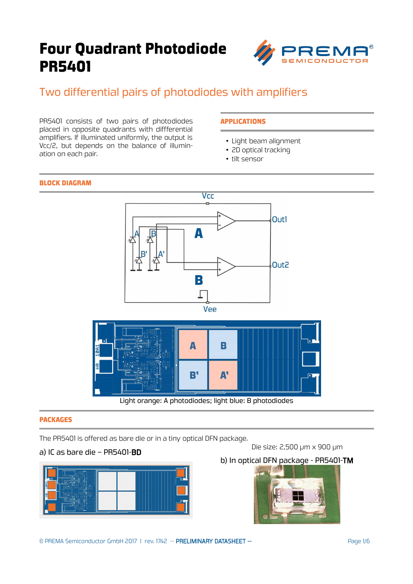

## Two differential pairs of photodiodes with amplifiers

PR5401 consists of two pairs of photodiodes placed in opposite quadrants with diffferential amplifiers. If illuminated uniformly, the output is Vcc/2, but depends on the balance of illumination on each pair.

### APPLICATIONS

- Light beam alignment
- 2D optical tracking
- tilt sensor

#### BLOCK DIAGRAM



Light orange: A photodiodes; light blue: B photodiodes

#### PACKAGES

The PR5401 is offered as bare die or in a tiny optical DFN package.

#### a) IC as bare die – PR5401-BD



b) In optical DFN package - PR5401-TM



Die size: 2,500 µm x 900 µm

© PREMA Semiconductor GmbH 2017 I rev. 1742 -- PRELIMINARY DATASHEET -- Page 1/6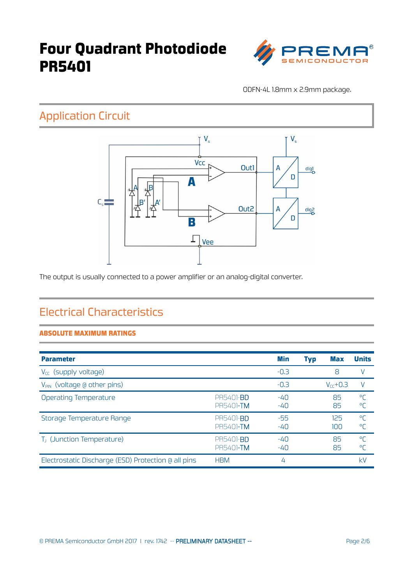

ODFN-4L 1.8mm x 2.9mm package.

## Application Circuit



The output is usually connected to a power amplifier or an analog-digital converter.

## Electrical Characteristics

### ABSOLUTE MAXIMUM RATINGS

| <b>Parameter</b>                                    |                                       | Min            | <b>Typ</b> | Max           | <b>Units</b>     |
|-----------------------------------------------------|---------------------------------------|----------------|------------|---------------|------------------|
| V <sub>cc</sub> (supply voltage)                    |                                       | $-0.3$         |            | 8             |                  |
| V <sub>PIN</sub> (voltage @ other pins)             |                                       | $-0.3$         |            | $V_{cc}$ +0.3 |                  |
| Operating Temperature                               | <b>PR5401-BD</b><br><b>PR5401-TM</b>  | $-40$<br>$-40$ |            | 85<br>85      | $^{\circ}$<br>°Γ |
| Storage Temperature Range                           | <b>PR5401-BD</b><br><b>PR5401-TM</b>  | -55<br>$-40$   |            | 125<br>100    | $^{\circ}$<br>°Γ |
| T <sub>J</sub> (Junction Temperature)               | PR5401- <b>BD</b><br><b>PR5401-TM</b> | $-40$<br>$-40$ |            | 85<br>85      | $^{\circ}$<br>°Γ |
| Electrostatic Discharge (ESD) Protection @ all pins | <b>HBM</b>                            | 4              |            |               | kV               |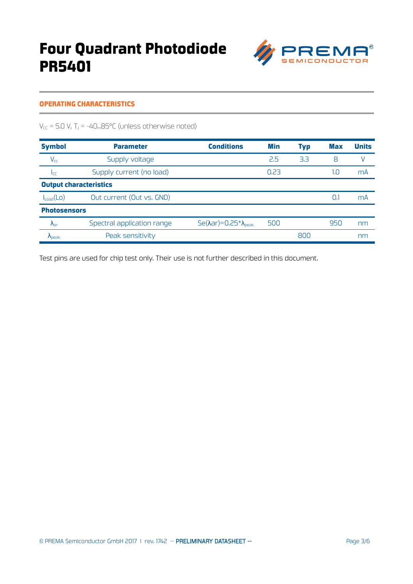

### OPERATING CHARACTERISTICS

 $V_{CC}$  = 5.0 V, T<sub>J</sub> = -40...85°C (unless otherwise noted)

| <b>Symbol</b>                 | <b>Parameter</b>           | <b>Conditions</b>                             | Min  | <b>Typ</b> | <b>Max</b> | <b>Units</b> |  |
|-------------------------------|----------------------------|-----------------------------------------------|------|------------|------------|--------------|--|
| $V_{cc}$                      | Supply voltage             |                                               | 2.5  | 3.3        | 8          |              |  |
| Icc                           | Supply current (no load)   |                                               | 0.23 |            | 1.0        | mA           |  |
| <b>Output characteristics</b> |                            |                                               |      |            |            |              |  |
| $I_{Load}(LO)$                | Out current (Out vs. GND)  |                                               |      |            | 0.         | mA           |  |
| <b>Photosensors</b>           |                            |                                               |      |            |            |              |  |
| $\Lambda_{\text{ar}}$         | Spectral application range | $Se(\lambda ar) = 0.25 \lambda_{\text{peak}}$ | 500  |            | 950        | nm           |  |
| $\Lambda_{\text{neak}}$       | Peak sensitivity           |                                               |      | 800        |            | nm           |  |

Test pins are used for chip test only. Their use is not further described in this document.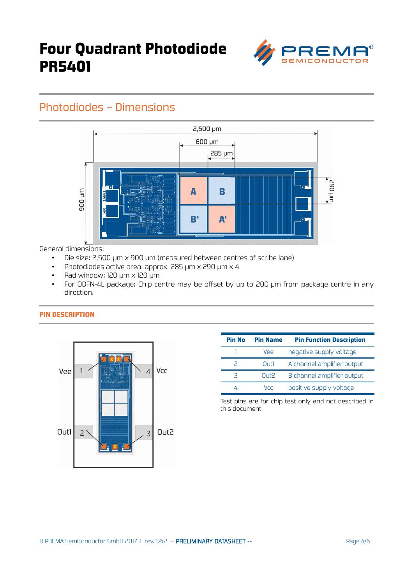

## Photodiodes – Dimensions



General dimensions:

- Die size: 2,500 µm x 900 µm (measured between centres of scribe lane)
- Photodiodes active area: approx. 285 µm x 290 µm x 4
- Pad window: 120 µm x 120 µm
- For ODFN-4L package: Chip centre may be offset by up to 200 µm from package centre in any direction.

#### PIN DESCRIPTION



| <b>Pin No</b> | <b>Pin Name</b> | <b>Pin Function Description</b> |  |  |
|---------------|-----------------|---------------------------------|--|--|
|               | Vee             | negative supply voltage         |  |  |
| 2             | Out1            | A channel amplifier output      |  |  |
| З             | Out2            | B channel amplifier output      |  |  |
|               | Vrr             | positive supply voltage         |  |  |

Test pins are for chip test only and not described in this document.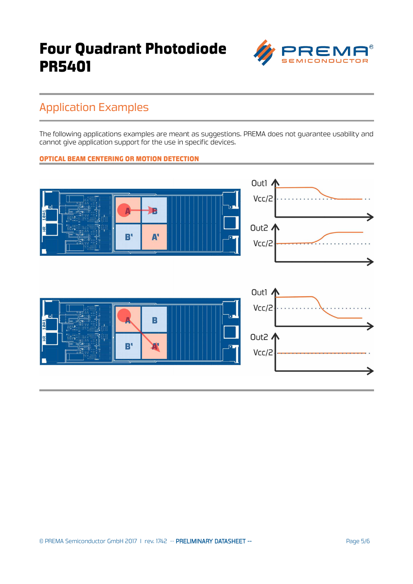

## Application Examples

The following applications examples are meant as suggestions. PREMA does not guarantee usability and cannot give application support for the use in specific devices.

### OPTICAL BEAM CENTERING OR MOTION DETECTION